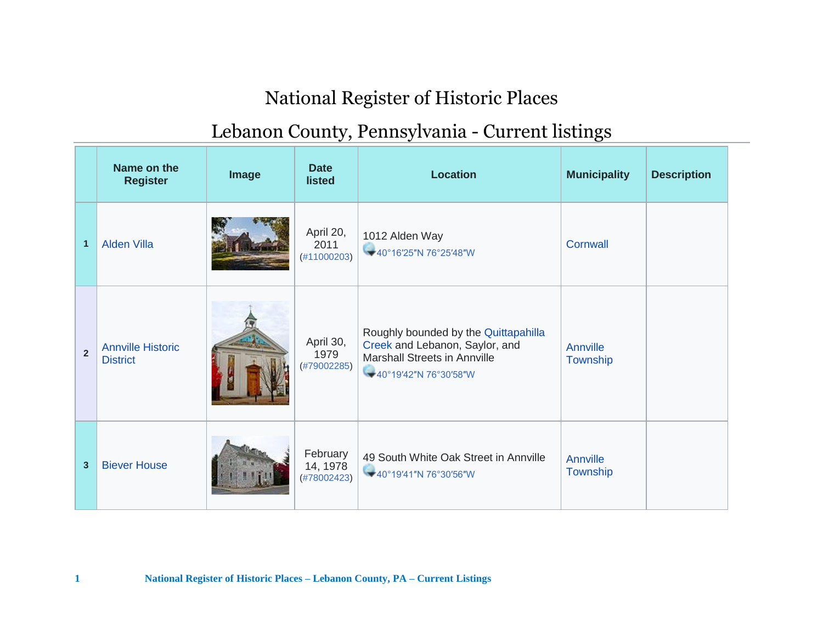## National Register of Historic Places

## Lebanon County, Pennsylvania - Current listings

|                | Name on the<br><b>Register</b>              | <b>Image</b> | <b>Date</b><br><b>listed</b>        | <b>Location</b>                                                                                                                        | <b>Municipality</b>  | <b>Description</b> |
|----------------|---------------------------------------------|--------------|-------------------------------------|----------------------------------------------------------------------------------------------------------------------------------------|----------------------|--------------------|
| $\overline{1}$ | <b>Alden Villa</b>                          |              | April 20,<br>2011<br>(#11000203)    | 1012 Alden Way<br>40°16'25"N 76°25'48"W                                                                                                | Cornwall             |                    |
| $\overline{2}$ | <b>Annville Historic</b><br><b>District</b> |              | April 30,<br>1979<br>(#79002285)    | Roughly bounded by the Quittapahilla<br>Creek and Lebanon, Saylor, and<br><b>Marshall Streets in Annville</b><br>40°19'42"N 76°30'58"W | Annville<br>Township |                    |
| $\mathbf{3}$   | <b>Biever House</b>                         |              | February<br>14, 1978<br>(#78002423) | 49 South White Oak Street in Annville<br>40°19'41"N 76°30'56"W                                                                         | Annville<br>Township |                    |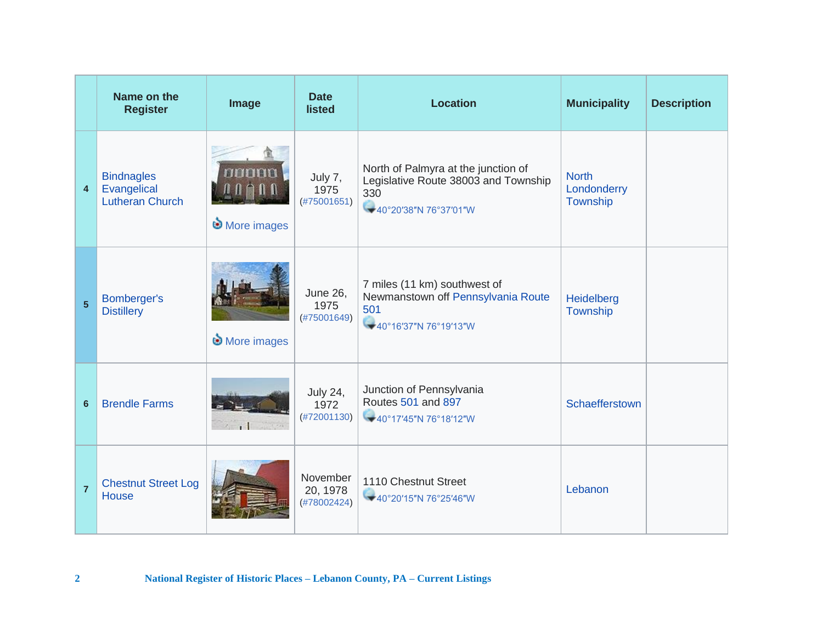|                         | Name on the<br><b>Register</b>                             | Image         | <b>Date</b><br><b>listed</b>           | <b>Location</b>                                                                                             | <b>Municipality</b>                     | <b>Description</b> |
|-------------------------|------------------------------------------------------------|---------------|----------------------------------------|-------------------------------------------------------------------------------------------------------------|-----------------------------------------|--------------------|
| $\overline{\mathbf{4}}$ | <b>Bindnagles</b><br>Evangelical<br><b>Lutheran Church</b> | More images   | July 7,<br>1975<br>(#75001651)         | North of Palmyra at the junction of<br>Legislative Route 38003 and Township<br>330<br>40°20'38"N 76°37'01"W | <b>North</b><br>Londonderry<br>Township |                    |
| 5 <sup>5</sup>          | Bomberger's<br><b>Distillery</b>                           | More images   | <b>June 26,</b><br>1975<br>(#75001649) | 7 miles (11 km) southwest of<br>Newmanstown off Pennsylvania Route<br>501<br>40°16'37"N 76°19'13"W          | Heidelberg<br>Township                  |                    |
| $6\phantom{1}$          | <b>Brendle Farms</b>                                       | $\sim$ $\sim$ | <b>July 24,</b><br>1972<br>(#72001130) | Junction of Pennsylvania<br>Routes 501 and 897<br>40°17'45"N 76°18'12"W                                     | Schaefferstown                          |                    |
| $\overline{7}$          | <b>Chestnut Street Log</b><br><b>House</b>                 |               | November<br>20, 1978<br>(#78002424)    | 1110 Chestnut Street<br>40°20'15"N 76°25'46"W                                                               | Lebanon                                 |                    |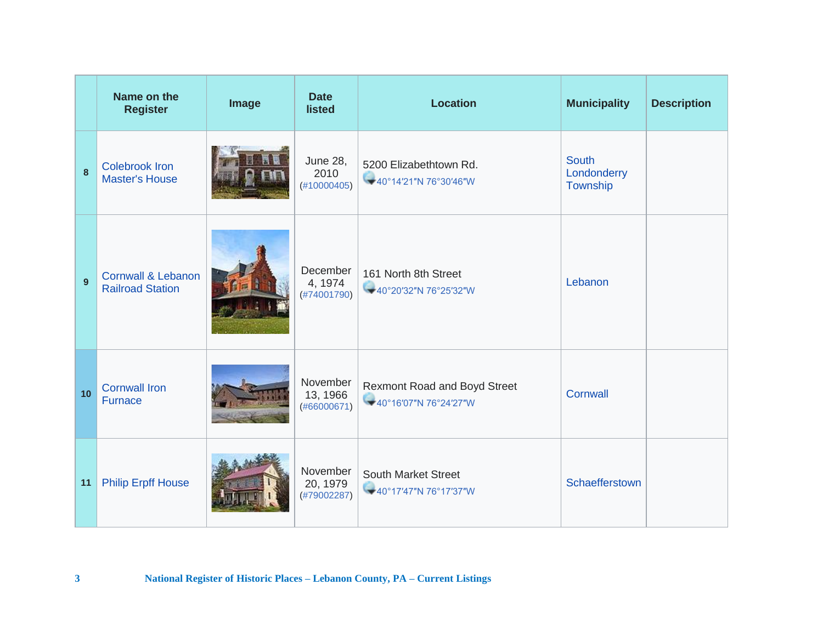|    | Name on the<br><b>Register</b>                           | Image | <b>Date</b><br><b>listed</b>           | <b>Location</b>                                              | <b>Municipality</b>                     | <b>Description</b> |
|----|----------------------------------------------------------|-------|----------------------------------------|--------------------------------------------------------------|-----------------------------------------|--------------------|
| 8  | <b>Colebrook Iron</b><br><b>Master's House</b>           |       | <b>June 28,</b><br>2010<br>(#10000405) | 5200 Elizabethtown Rd.<br>40°14'21"N 76°30'46"W              | <b>South</b><br>Londonderry<br>Township |                    |
| 9  | <b>Cornwall &amp; Lebanon</b><br><b>Railroad Station</b> |       | December<br>4, 1974<br>(#74001790)     | 161 North 8th Street<br>40°20'32"N 76°25'32"W                | Lebanon                                 |                    |
| 10 | <b>Cornwall Iron</b><br><b>Furnace</b>                   |       | November<br>13, 1966<br>(#66000671)    | <b>Rexmont Road and Boyd Street</b><br>40°16'07"N 76°24'27"W | Cornwall                                |                    |
| 11 | <b>Philip Erpff House</b>                                |       | November<br>20, 1979<br>(#79002287)    | <b>South Market Street</b><br>40°17'47"N 76°17'37"W          | Schaefferstown                          |                    |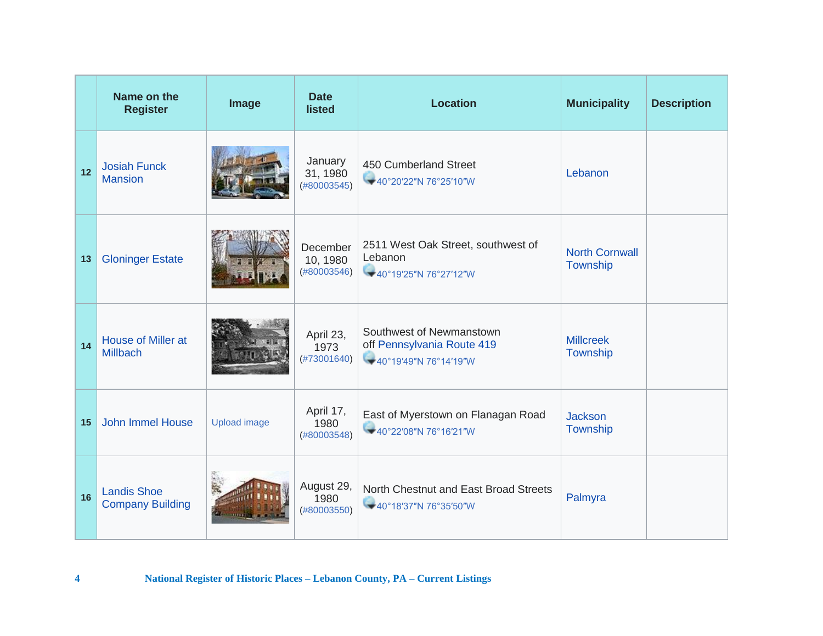|    | Name on the<br><b>Register</b>                | Image               | <b>Date</b><br><b>listed</b>        | <b>Location</b>                                                                 | <b>Municipality</b>               | <b>Description</b> |
|----|-----------------------------------------------|---------------------|-------------------------------------|---------------------------------------------------------------------------------|-----------------------------------|--------------------|
| 12 | <b>Josiah Funck</b><br><b>Mansion</b>         |                     | January<br>31, 1980<br>(#80003545)  | 450 Cumberland Street<br>40°20'22"N 76°25'10"W                                  | Lebanon                           |                    |
| 13 | <b>Gloninger Estate</b>                       |                     | December<br>10, 1980<br>(#80003546) | 2511 West Oak Street, southwest of<br>Lebanon<br>40°19'25"N 76°27'12"W          | <b>North Cornwall</b><br>Township |                    |
| 14 | House of Miller at<br><b>Millbach</b>         |                     | April 23,<br>1973<br>(#73001640)    | Southwest of Newmanstown<br>off Pennsylvania Route 419<br>40°19'49"N 76°14'19"W | <b>Millcreek</b><br>Township      |                    |
| 15 | <b>John Immel House</b>                       | <b>Upload image</b> | April 17,<br>1980<br>(#80003548)    | East of Myerstown on Flanagan Road<br>40°22'08"N 76°16'21"W                     | Jackson<br>Township               |                    |
| 16 | <b>Landis Shoe</b><br><b>Company Building</b> |                     | August 29,<br>1980<br>(#80003550)   | North Chestnut and East Broad Streets<br>40°18'37"N 76°35'50"W                  | Palmyra                           |                    |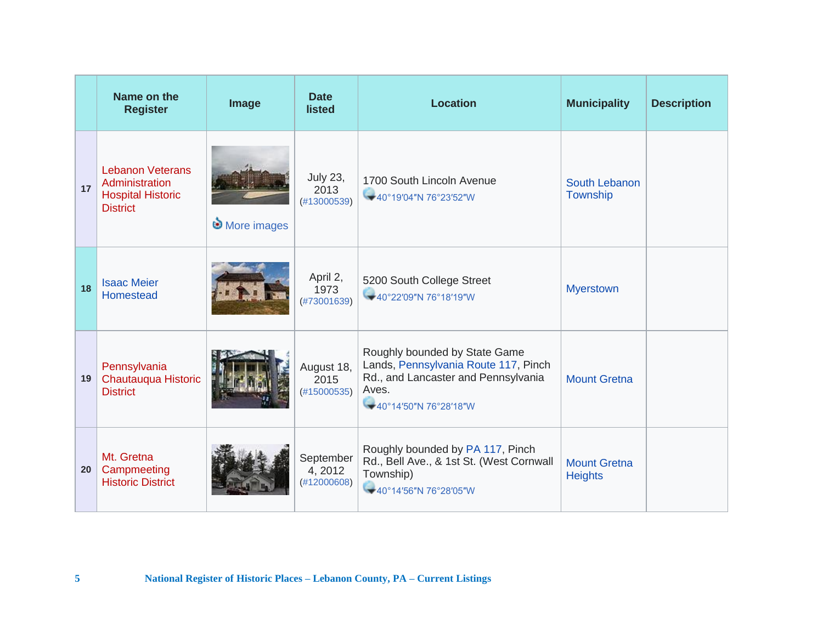|    | Name on the<br><b>Register</b>                                                           | Image       | <b>Date</b><br><b>listed</b>           | <b>Location</b>                                                                                                                                | <b>Municipality</b>                   | <b>Description</b> |
|----|------------------------------------------------------------------------------------------|-------------|----------------------------------------|------------------------------------------------------------------------------------------------------------------------------------------------|---------------------------------------|--------------------|
| 17 | <b>Lebanon Veterans</b><br>Administration<br><b>Hospital Historic</b><br><b>District</b> | More images | <b>July 23,</b><br>2013<br>(#13000539) | 1700 South Lincoln Avenue<br>40°19'04"N 76°23'52"W                                                                                             | South Lebanon<br>Township             |                    |
| 18 | <b>Isaac Meier</b><br>Homestead                                                          |             | April 2,<br>1973<br>(#73001639)        | 5200 South College Street<br>40°22'09"N 76°18'19"W                                                                                             | <b>Myerstown</b>                      |                    |
| 19 | Pennsylvania<br>Chautauqua Historic<br><b>District</b>                                   |             | August 18,<br>2015<br>(#15000535)      | Roughly bounded by State Game<br>Lands, Pennsylvania Route 117, Pinch<br>Rd., and Lancaster and Pennsylvania<br>Aves.<br>40°14'50"N 76°28'18"W | <b>Mount Gretna</b>                   |                    |
| 20 | Mt. Gretna<br>Campmeeting<br><b>Historic District</b>                                    |             | September<br>4, 2012<br>(#12000608)    | Roughly bounded by PA 117, Pinch<br>Rd., Bell Ave., & 1st St. (West Cornwall<br>Township)<br>40°14'56"N 76°28'05"W                             | <b>Mount Gretna</b><br><b>Heights</b> |                    |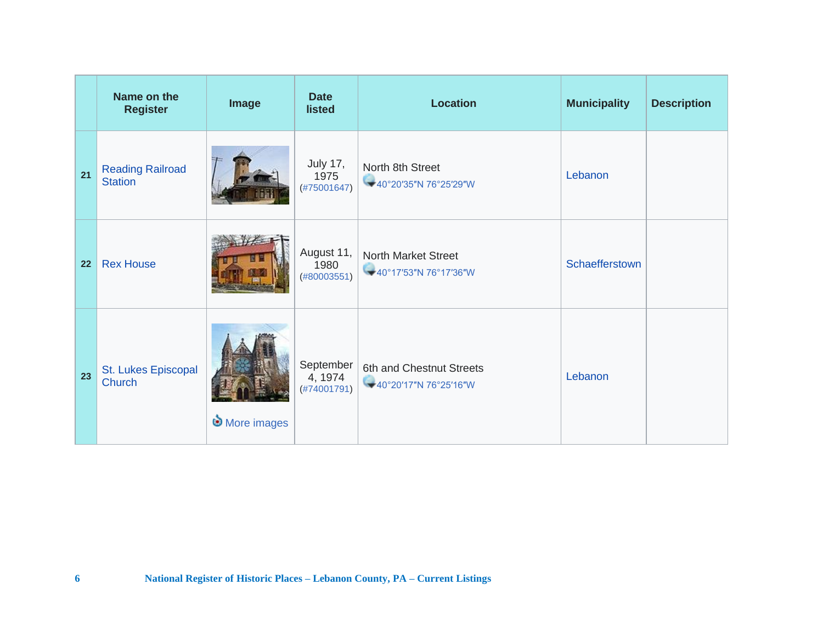|    | Name on the<br><b>Register</b>            | Image       | <b>Date</b><br><b>listed</b>           | <b>Location</b>                                     | <b>Municipality</b> | <b>Description</b> |
|----|-------------------------------------------|-------------|----------------------------------------|-----------------------------------------------------|---------------------|--------------------|
| 21 | <b>Reading Railroad</b><br><b>Station</b> |             | <b>July 17,</b><br>1975<br>(#75001647) | North 8th Street<br>40°20'35"N 76°25'29"W           | Lebanon             |                    |
| 22 | <b>Rex House</b>                          |             | August 11,<br>1980<br>(#80003551)      | <b>North Market Street</b><br>40°17'53"N 76°17'36"W | Schaefferstown      |                    |
| 23 | St. Lukes Episcopal<br>Church             | More images | September<br>4, 1974<br>(#74001791)    | 6th and Chestnut Streets<br>40°20'17"N 76°25'16"W   | Lebanon             |                    |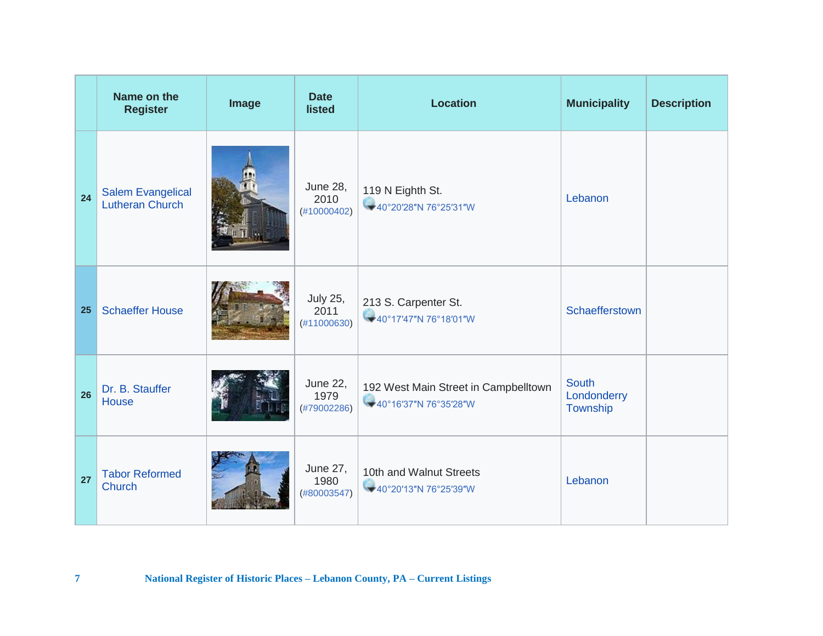|    | Name on the<br><b>Register</b>              | Image | <b>Date</b><br><b>listed</b>           | <b>Location</b>                                               | <b>Municipality</b>                     | <b>Description</b> |
|----|---------------------------------------------|-------|----------------------------------------|---------------------------------------------------------------|-----------------------------------------|--------------------|
| 24 | <b>Salem Evangelical</b><br>Lutheran Church |       | <b>June 28,</b><br>2010<br>(#10000402) | 119 N Eighth St.<br>40°20'28"N 76°25'31"W                     | Lebanon                                 |                    |
| 25 | <b>Schaeffer House</b>                      |       | <b>July 25,</b><br>2011<br>(#11000630) | 213 S. Carpenter St.<br>40°17'47"N 76°18'01"W                 | Schaefferstown                          |                    |
| 26 | Dr. B. Stauffer<br>House                    |       | <b>June 22,</b><br>1979<br>(#79002286) | 192 West Main Street in Campbelltown<br>40°16'37"N 76°35'28"W | <b>South</b><br>Londonderry<br>Township |                    |
| 27 | <b>Tabor Reformed</b><br><b>Church</b>      |       | <b>June 27,</b><br>1980<br>(#80003547) | 10th and Walnut Streets<br>40°20'13"N 76°25'39"W              | Lebanon                                 |                    |